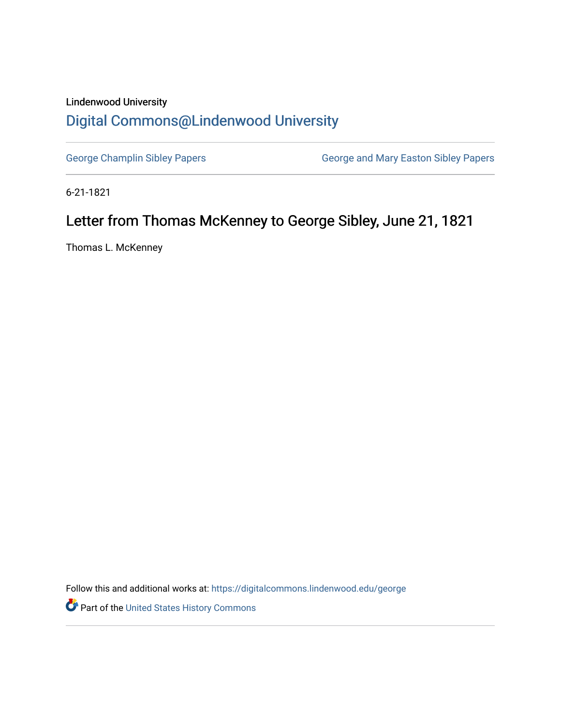## Lindenwood University [Digital Commons@Lindenwood University](https://digitalcommons.lindenwood.edu/)

[George Champlin Sibley Papers](https://digitalcommons.lindenwood.edu/george) **George and Mary Easton Sibley Papers** George and Mary Easton Sibley Papers

6-21-1821

## Letter from Thomas McKenney to George Sibley, June 21, 1821

Thomas L. McKenney

Follow this and additional works at: [https://digitalcommons.lindenwood.edu/george](https://digitalcommons.lindenwood.edu/george?utm_source=digitalcommons.lindenwood.edu%2Fgeorge%2F50&utm_medium=PDF&utm_campaign=PDFCoverPages)

Part of the [United States History Commons](http://network.bepress.com/hgg/discipline/495?utm_source=digitalcommons.lindenwood.edu%2Fgeorge%2F50&utm_medium=PDF&utm_campaign=PDFCoverPages)